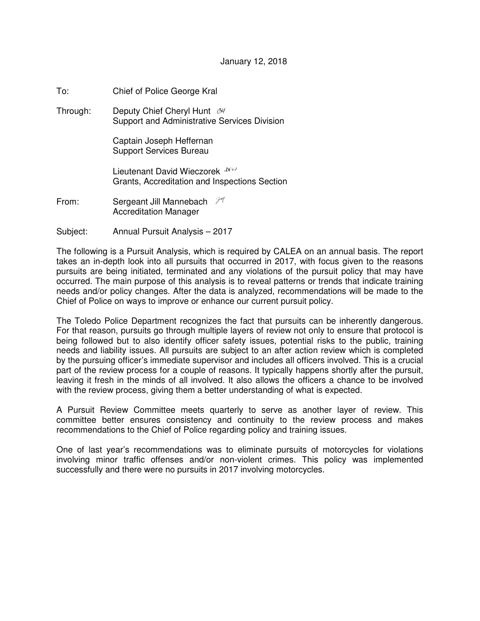## January 12, 2018

To: Chief of Police George Kral

Through: Deputy Chief Cheryl Hunt & Support and Administrative Services Division

> Captain Joseph Heffernan Support Services Bureau

Lieutenant David Wieczorek **DELI** Grants, Accreditation and Inspections Section

- From: Sergeant Jill Mannebach  $\mathcal{H}$ Accreditation Manager
- Subject: Annual Pursuit Analysis 2017

The following is a Pursuit Analysis, which is required by CALEA on an annual basis. The report takes an in-depth look into all pursuits that occurred in 2017, with focus given to the reasons pursuits are being initiated, terminated and any violations of the pursuit policy that may have occurred. The main purpose of this analysis is to reveal patterns or trends that indicate training needs and/or policy changes. After the data is analyzed, recommendations will be made to the Chief of Police on ways to improve or enhance our current pursuit policy.

The Toledo Police Department recognizes the fact that pursuits can be inherently dangerous. For that reason, pursuits go through multiple layers of review not only to ensure that protocol is being followed but to also identify officer safety issues, potential risks to the public, training needs and liability issues. All pursuits are subject to an after action review which is completed by the pursuing officer's immediate supervisor and includes all officers involved. This is a crucial part of the review process for a couple of reasons. It typically happens shortly after the pursuit, leaving it fresh in the minds of all involved. It also allows the officers a chance to be involved with the review process, giving them a better understanding of what is expected.

A Pursuit Review Committee meets quarterly to serve as another layer of review. This committee better ensures consistency and continuity to the review process and makes recommendations to the Chief of Police regarding policy and training issues.

One of last year's recommendations was to eliminate pursuits of motorcycles for violations involving minor traffic offenses and/or non-violent crimes. This policy was implemented successfully and there were no pursuits in 2017 involving motorcycles.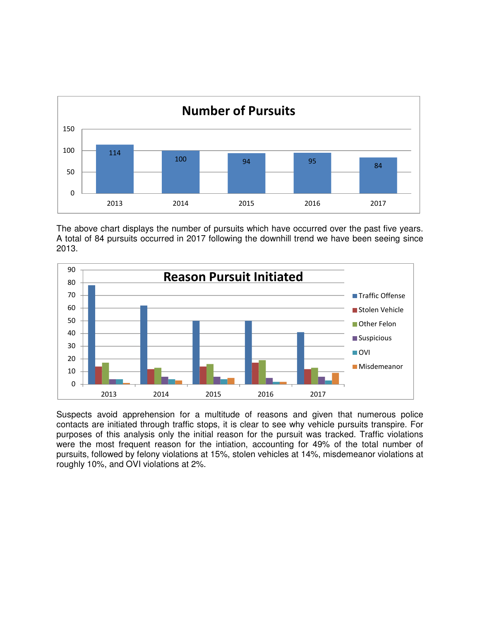

The above chart displays the number of pursuits which have occurred over the past five years. A total of 84 pursuits occurred in 2017 following the downhill trend we have been seeing since 2013.



Suspects avoid apprehension for a multitude of reasons and given that numerous police contacts are initiated through traffic stops, it is clear to see why vehicle pursuits transpire. For purposes of this analysis only the initial reason for the pursuit was tracked. Traffic violations were the most frequent reason for the intiation, accounting for 49% of the total number of pursuits, followed by felony violations at 15%, stolen vehicles at 14%, misdemeanor violations at roughly 10%, and OVI violations at 2%.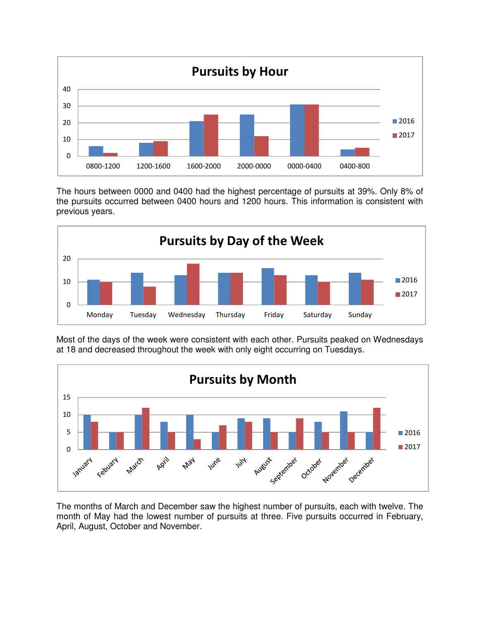

The hours between 0000 and 0400 had the highest percentage of pursuits at 39%. Only 8% of the pursuits occurred between 0400 hours and 1200 hours. This information is consistent with previous years.



Most of the days of the week were consistent with each other. Pursuits peaked on Wednesdays at 18 and decreased throughout the week with only eight occurring on Tuesdays.



The months of March and December saw the highest number of pursuits, each with twelve. The month of May had the lowest number of pursuits at three. Five pursuits occurred in February, April, August, October and November.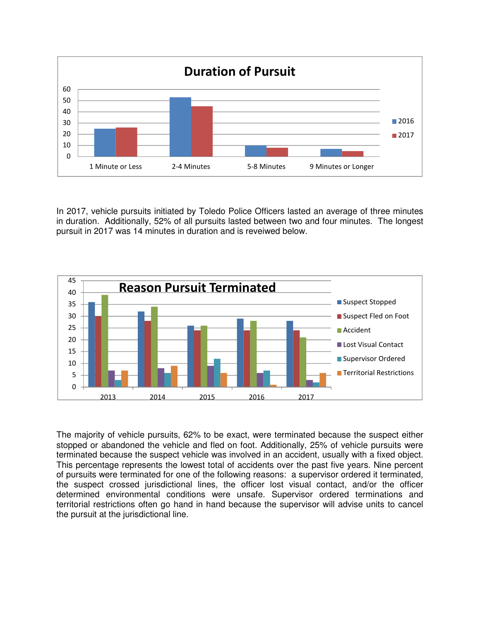

In 2017, vehicle pursuits initiated by Toledo Police Officers lasted an average of three minutes in duration. Additionally, 52% of all pursuits lasted between two and four minutes. The longest pursuit in 2017 was 14 minutes in duration and is reveiwed below.



The majority of vehicle pursuits, 62% to be exact, were terminated because the suspect either stopped or abandoned the vehicle and fled on foot. Additionally, 25% of vehicle pursuits were terminated because the suspect vehicle was involved in an accident, usually with a fixed object. This percentage represents the lowest total of accidents over the past five years. Nine percent of pursuits were terminated for one of the following reasons: a supervisor ordered it terminated, the suspect crossed jurisdictional lines, the officer lost visual contact, and/or the officer determined environmental conditions were unsafe. Supervisor ordered terminations and territorial restrictions often go hand in hand because the supervisor will advise units to cancel the pursuit at the jurisdictional line.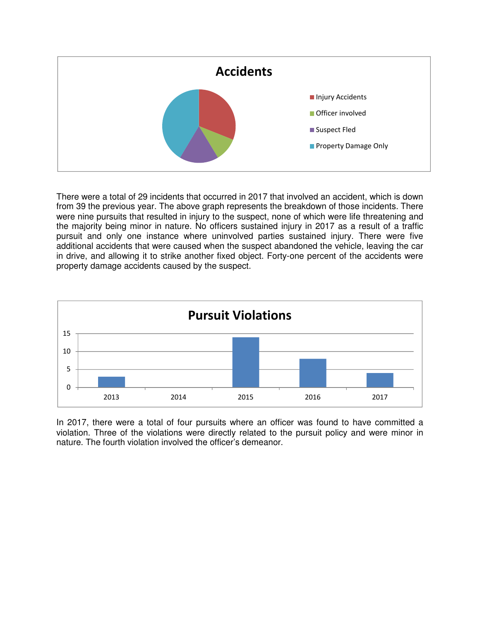

There were a total of 29 incidents that occurred in 2017 that involved an accident, which is down from 39 the previous year. The above graph represents the breakdown of those incidents. There were nine pursuits that resulted in injury to the suspect, none of which were life threatening and the majority being minor in nature. No officers sustained injury in 2017 as a result of a traffic pursuit and only one instance where uninvolved parties sustained injury. There were five additional accidents that were caused when the suspect abandoned the vehicle, leaving the car in drive, and allowing it to strike another fixed object. Forty-one percent of the accidents were property damage accidents caused by the suspect.



In 2017, there were a total of four pursuits where an officer was found to have committed a violation. Three of the violations were directly related to the pursuit policy and were minor in nature. The fourth violation involved the officer's demeanor.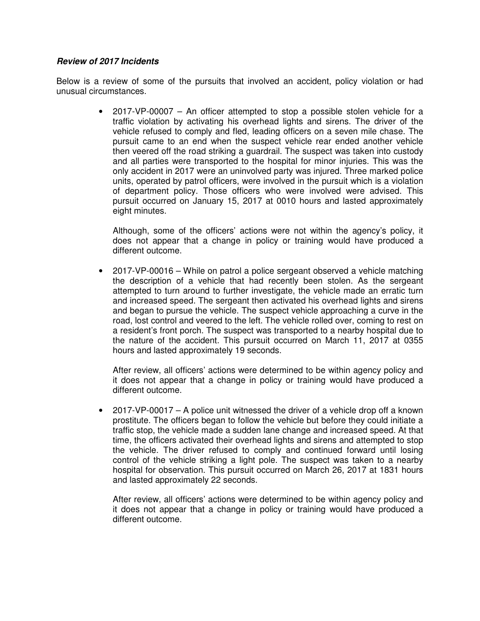## **Review of 2017 Incidents**

Below is a review of some of the pursuits that involved an accident, policy violation or had unusual circumstances.

> • 2017-VP-00007 – An officer attempted to stop a possible stolen vehicle for a traffic violation by activating his overhead lights and sirens. The driver of the vehicle refused to comply and fled, leading officers on a seven mile chase. The pursuit came to an end when the suspect vehicle rear ended another vehicle then veered off the road striking a guardrail. The suspect was taken into custody and all parties were transported to the hospital for minor injuries. This was the only accident in 2017 were an uninvolved party was injured. Three marked police units, operated by patrol officers, were involved in the pursuit which is a violation of department policy. Those officers who were involved were advised. This pursuit occurred on January 15, 2017 at 0010 hours and lasted approximately eight minutes.

Although, some of the officers' actions were not within the agency's policy, it does not appear that a change in policy or training would have produced a different outcome.

• 2017-VP-00016 – While on patrol a police sergeant observed a vehicle matching the description of a vehicle that had recently been stolen. As the sergeant attempted to turn around to further investigate, the vehicle made an erratic turn and increased speed. The sergeant then activated his overhead lights and sirens and began to pursue the vehicle. The suspect vehicle approaching a curve in the road, lost control and veered to the left. The vehicle rolled over, coming to rest on a resident's front porch. The suspect was transported to a nearby hospital due to the nature of the accident. This pursuit occurred on March 11, 2017 at 0355 hours and lasted approximately 19 seconds.

After review, all officers' actions were determined to be within agency policy and it does not appear that a change in policy or training would have produced a different outcome.

• 2017-VP-00017 – A police unit witnessed the driver of a vehicle drop off a known prostitute. The officers began to follow the vehicle but before they could initiate a traffic stop, the vehicle made a sudden lane change and increased speed. At that time, the officers activated their overhead lights and sirens and attempted to stop the vehicle. The driver refused to comply and continued forward until losing control of the vehicle striking a light pole. The suspect was taken to a nearby hospital for observation. This pursuit occurred on March 26, 2017 at 1831 hours and lasted approximately 22 seconds.

After review, all officers' actions were determined to be within agency policy and it does not appear that a change in policy or training would have produced a different outcome.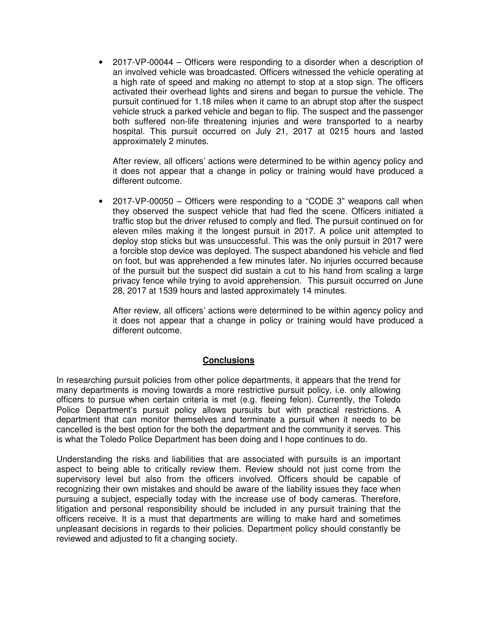• 2017-VP-00044 – Officers were responding to a disorder when a description of an involved vehicle was broadcasted. Officers witnessed the vehicle operating at a high rate of speed and making no attempt to stop at a stop sign. The officers activated their overhead lights and sirens and began to pursue the vehicle. The pursuit continued for 1.18 miles when it came to an abrupt stop after the suspect vehicle struck a parked vehicle and began to flip. The suspect and the passenger both suffered non-life threatening injuries and were transported to a nearby hospital. This pursuit occurred on July 21, 2017 at 0215 hours and lasted approximately 2 minutes.

After review, all officers' actions were determined to be within agency policy and it does not appear that a change in policy or training would have produced a different outcome.

• 2017-VP-00050 – Officers were responding to a "CODE 3" weapons call when they observed the suspect vehicle that had fled the scene. Officers initiated a traffic stop but the driver refused to comply and fled. The pursuit continued on for eleven miles making it the longest pursuit in 2017. A police unit attempted to deploy stop sticks but was unsuccessful. This was the only pursuit in 2017 were a forcible stop device was deployed. The suspect abandoned his vehicle and fled on foot, but was apprehended a few minutes later. No injuries occurred because of the pursuit but the suspect did sustain a cut to his hand from scaling a large privacy fence while trying to avoid apprehension. This pursuit occurred on June 28, 2017 at 1539 hours and lasted approximately 14 minutes.

After review, all officers' actions were determined to be within agency policy and it does not appear that a change in policy or training would have produced a different outcome.

## **Conclusions**

In researching pursuit policies from other police departments, it appears that the trend for many departments is moving towards a more restrictive pursuit policy, i.e. only allowing officers to pursue when certain criteria is met (e.g. fleeing felon). Currently, the Toledo Police Department's pursuit policy allows pursuits but with practical restrictions. A department that can monitor themselves and terminate a pursuit when it needs to be cancelled is the best option for the both the department and the community it serves. This is what the Toledo Police Department has been doing and I hope continues to do.

Understanding the risks and liabilities that are associated with pursuits is an important aspect to being able to critically review them. Review should not just come from the supervisory level but also from the officers involved. Officers should be capable of recognizing their own mistakes and should be aware of the liability issues they face when pursuing a subject, especially today with the increase use of body cameras. Therefore, litigation and personal responsibility should be included in any pursuit training that the officers receive. It is a must that departments are willing to make hard and sometimes unpleasant decisions in regards to their policies. Department policy should constantly be reviewed and adjusted to fit a changing society.